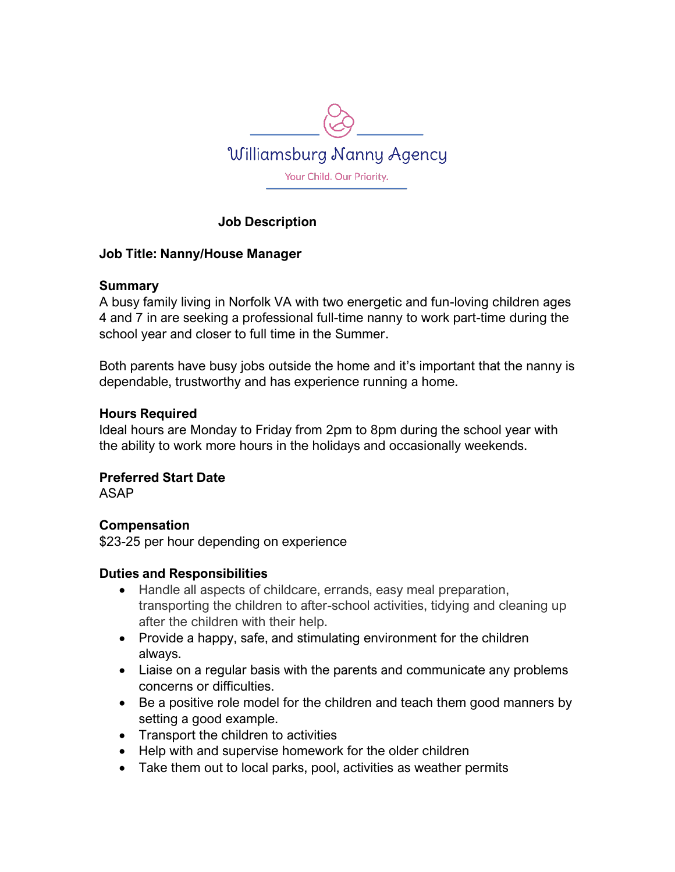

## **Job Description**

### **Job Title: Nanny/House Manager**

### **Summary**

A busy family living in Norfolk VA with two energetic and fun-loving children ages 4 and 7 in are seeking a professional full-time nanny to work part-time during the school year and closer to full time in the Summer.

Both parents have busy jobs outside the home and it's important that the nanny is dependable, trustworthy and has experience running a home.

### **Hours Required**

Ideal hours are Monday to Friday from 2pm to 8pm during the school year with the ability to work more hours in the holidays and occasionally weekends.

**Preferred Start Date**

ASAP

## **Compensation**

\$23-25 per hour depending on experience

## **Duties and Responsibilities**

- Handle all aspects of childcare, errands, easy meal preparation, transporting the children to after-school activities, tidying and cleaning up after the children with their help.
- Provide a happy, safe, and stimulating environment for the children always.
- Liaise on a regular basis with the parents and communicate any problems concerns or difficulties.
- Be a positive role model for the children and teach them good manners by setting a good example.
- Transport the children to activities
- Help with and supervise homework for the older children
- Take them out to local parks, pool, activities as weather permits